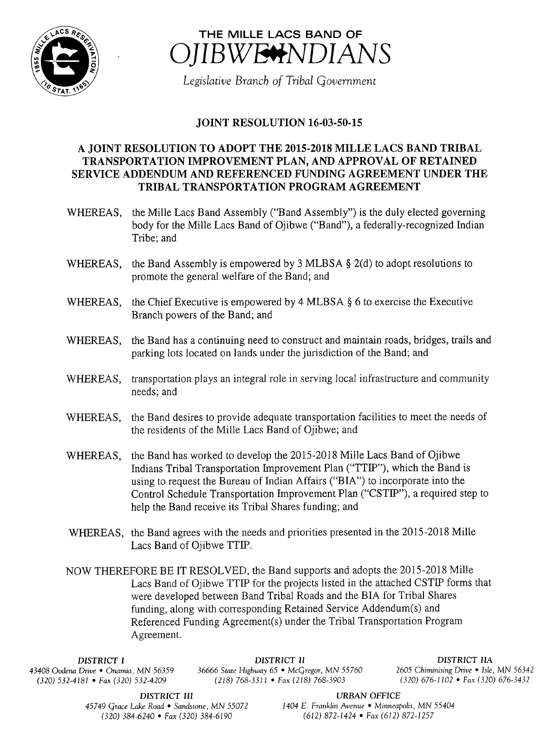



Legislative Branch of Tribal Government

## **JOINT RESOLUTION 16-03-50-15**

## A JOINT RESOLUTION TO ADOPT THE 2015- 2018 MILLE LACS BAND TRIBAL TRANSPORTATION IMPROVEMENT PLAN, AND APPROVAL OF RETAINED SERVICE ADDENDUM AND REFERENCED FUNDING AGREEMENT UNDER THE TRIBAL TRANSPORTATION PROGRAM AGREEMENT

- WHEREAS, the Mille Lacs Band Assembly ("Band Assembly") is the duly elected governing body for the Mille Lacs Band of Ojibwe (" Band"), <sup>a</sup> federally-recognized Indian Tribe; and
- WHEREAS, the Band Assembly is empowered by 3 MLBSA  $\S$  2(d) to adopt resolutions to promote the general welfare of the Band; and
- WHEREAS, the Chief Executive is empowered by 4 MLBSA § 6 to exercise the Executive Branch powers of the Band; and
- WHEREAS, the Band has <sup>a</sup> continuing need to construct and maintain roads, bridges, trails and parking lots located on lands under the jurisdiction of the Band; and
- WHEREAS, transportation plays an integral role in serving local infrastructure and community needs; and
- WHEREAS, the Band desires to provide adequate transportation facilities to meet the needs of the residents of the Mille Lacs Band of Ojibwe; and
- WHEREAS, the Band has worked to develop the 2015-2018 Mille Lacs Band of Ojibwe Indians Tribal Transportation Improvement Plan ("TTIP"), which the Band is using to request the Bureau of Indian Affairs (" BIA") to incorporate into the Control Schedule Transportation Improvement Plan ("CSTIP"), a required step to help the Band receive its Tribal Shares funding; and
- WHEREAS, the Band agrees with the needs and priorities presented in the 2015-2018 Mille Lacs Band of Ojibwe TTIP.

NOW THEREFORE BE IT RESOLVED, the Band supports and adopts the 2015- 2018 Mille Lacs Band of Ojibwe TTIP for the projects listed in the attached CSTIP forms that were developed between Band Tribal Roads and the BIA for Tribal Shares funding, along with corresponding Retained Service Addendum(s) and Referenced Funding Agreement(s) under the Tribal Transportation Program Agreement.

DISTRICT I DISTRICT II DISTRICT IIA 43408 Oodena Drive • Onamia, MN 56359 36666 State Highway 65 • McGregor, MN 55760 <sup>2605</sup> Chiminising Drive • Isle, MN 56342  $(218)$  768-3311 • Fax (218) 768-3903

DISTRICT III URBAN OFFICE

45749 Grace Lake Road • Sandstone, MN 55072 1404 E. Franklin Avenue • Minneapolis, MN 55404 320) 384- 6240 • Fax( 320) 384- 6190 612) 872- 1424 • Fax( 612) 872- 1257